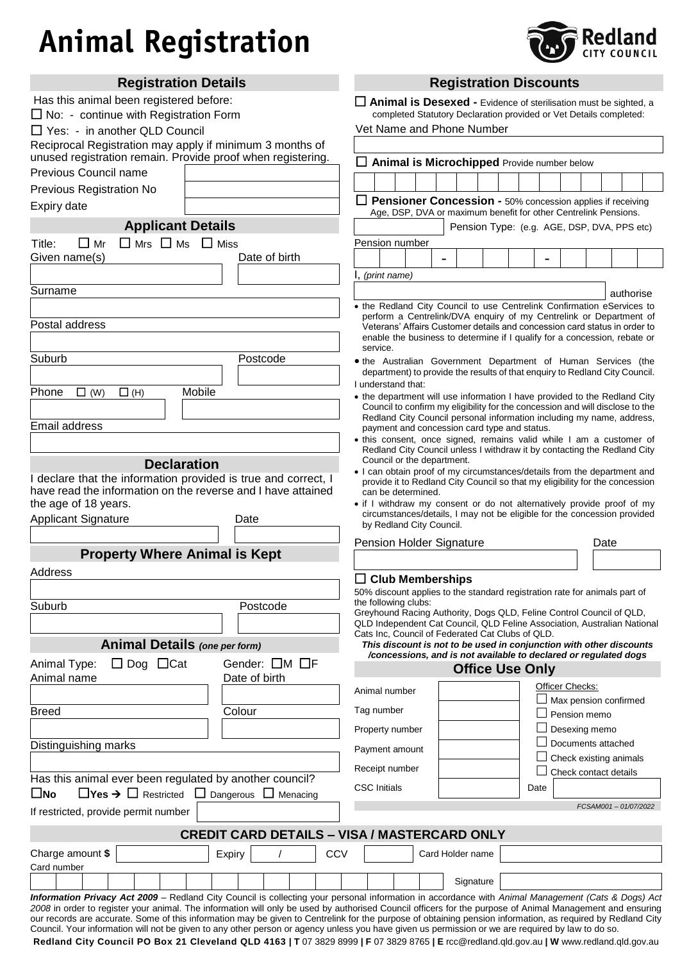# **Animal Registration**



| <b>Registration Details</b>                                                                                                                                                                                                                                                                                              |     | <b>Registration Discounts</b>                                                                                                                          |  |                                                                  |      |                        |                     |           |  |
|--------------------------------------------------------------------------------------------------------------------------------------------------------------------------------------------------------------------------------------------------------------------------------------------------------------------------|-----|--------------------------------------------------------------------------------------------------------------------------------------------------------|--|------------------------------------------------------------------|------|------------------------|---------------------|-----------|--|
| Has this animal been registered before:                                                                                                                                                                                                                                                                                  |     | $\Box$ Animal is Desexed - Evidence of sterilisation must be sighted, a                                                                                |  |                                                                  |      |                        |                     |           |  |
| $\Box$ No: - continue with Registration Form                                                                                                                                                                                                                                                                             |     | completed Statutory Declaration provided or Vet Details completed:                                                                                     |  |                                                                  |      |                        |                     |           |  |
| $\Box$ Yes: - in another QLD Council                                                                                                                                                                                                                                                                                     |     | Vet Name and Phone Number                                                                                                                              |  |                                                                  |      |                        |                     |           |  |
| Reciprocal Registration may apply if minimum 3 months of<br>unused registration remain. Provide proof when registering.                                                                                                                                                                                                  |     |                                                                                                                                                        |  |                                                                  |      |                        |                     |           |  |
| Previous Council name                                                                                                                                                                                                                                                                                                    |     | $\Box$ Animal is Microchipped Provide number below                                                                                                     |  |                                                                  |      |                        |                     |           |  |
| Previous Registration No                                                                                                                                                                                                                                                                                                 |     |                                                                                                                                                        |  |                                                                  |      |                        |                     |           |  |
| Expiry date                                                                                                                                                                                                                                                                                                              |     |                                                                                                                                                        |  | Pensioner Concession - 50% concession applies if receiving       |      |                        |                     |           |  |
|                                                                                                                                                                                                                                                                                                                          |     |                                                                                                                                                        |  | Age, DSP, DVA or maximum benefit for other Centrelink Pensions.  |      |                        |                     |           |  |
| <b>Applicant Details</b>                                                                                                                                                                                                                                                                                                 |     |                                                                                                                                                        |  | Pension Type: (e.g. AGE, DSP, DVA, PPS etc)                      |      |                        |                     |           |  |
| $\Box$ Mrs $\Box$ Ms $\Box$ Miss<br>$\Box$ Mr<br>Title:<br>Date of birth                                                                                                                                                                                                                                                 |     | Pension number                                                                                                                                         |  |                                                                  |      |                        |                     |           |  |
| Given name(s)                                                                                                                                                                                                                                                                                                            |     |                                                                                                                                                        |  |                                                                  |      |                        |                     |           |  |
|                                                                                                                                                                                                                                                                                                                          |     | (print name)                                                                                                                                           |  |                                                                  |      |                        |                     |           |  |
| Surname                                                                                                                                                                                                                                                                                                                  |     |                                                                                                                                                        |  |                                                                  |      |                        |                     | authorise |  |
|                                                                                                                                                                                                                                                                                                                          |     | • the Redland City Council to use Centrelink Confirmation eServices to<br>perform a Centrelink/DVA enquiry of my Centrelink or Department of           |  |                                                                  |      |                        |                     |           |  |
| Postal address                                                                                                                                                                                                                                                                                                           |     | Veterans' Affairs Customer details and concession card status in order to<br>enable the business to determine if I qualify for a concession, rebate or |  |                                                                  |      |                        |                     |           |  |
|                                                                                                                                                                                                                                                                                                                          |     | service.                                                                                                                                               |  |                                                                  |      |                        |                     |           |  |
| Suburb<br>Postcode                                                                                                                                                                                                                                                                                                       |     | . the Australian Government Department of Human Services (the                                                                                          |  |                                                                  |      |                        |                     |           |  |
|                                                                                                                                                                                                                                                                                                                          |     | department) to provide the results of that enquiry to Redland City Council.<br>I understand that:                                                      |  |                                                                  |      |                        |                     |           |  |
| Mobile<br>Phone<br>$\Box$ (W)<br>$\Box$ (H)                                                                                                                                                                                                                                                                              |     | • the department will use information I have provided to the Redland City                                                                              |  |                                                                  |      |                        |                     |           |  |
|                                                                                                                                                                                                                                                                                                                          |     | Council to confirm my eligibility for the concession and will disclose to the<br>Redland City Council personal information including my name, address, |  |                                                                  |      |                        |                     |           |  |
| Email address                                                                                                                                                                                                                                                                                                            |     | payment and concession card type and status.                                                                                                           |  |                                                                  |      |                        |                     |           |  |
|                                                                                                                                                                                                                                                                                                                          |     | . this consent, once signed, remains valid while I am a customer of<br>Redland City Council unless I withdraw it by contacting the Redland City        |  |                                                                  |      |                        |                     |           |  |
| <b>Declaration</b>                                                                                                                                                                                                                                                                                                       |     | Council or the department.<br>. I can obtain proof of my circumstances/details from the department and                                                 |  |                                                                  |      |                        |                     |           |  |
| declare that the information provided is true and correct, I                                                                                                                                                                                                                                                             |     | provide it to Redland City Council so that my eligibility for the concession                                                                           |  |                                                                  |      |                        |                     |           |  |
| have read the information on the reverse and I have attained<br>the age of 18 years.                                                                                                                                                                                                                                     |     | can be determined.<br>• if I withdraw my consent or do not alternatively provide proof of my                                                           |  |                                                                  |      |                        |                     |           |  |
| <b>Applicant Signature</b><br>Date                                                                                                                                                                                                                                                                                       |     | circumstances/details, I may not be eligible for the concession provided                                                                               |  |                                                                  |      |                        |                     |           |  |
|                                                                                                                                                                                                                                                                                                                          |     | by Redland City Council.                                                                                                                               |  |                                                                  |      |                        |                     |           |  |
| <b>Property Where Animal is Kept</b>                                                                                                                                                                                                                                                                                     |     | <b>Pension Holder Signature</b>                                                                                                                        |  |                                                                  |      |                        | Date                |           |  |
|                                                                                                                                                                                                                                                                                                                          |     |                                                                                                                                                        |  |                                                                  |      |                        |                     |           |  |
| Address                                                                                                                                                                                                                                                                                                                  |     | <b>Club Memberships</b>                                                                                                                                |  |                                                                  |      |                        |                     |           |  |
|                                                                                                                                                                                                                                                                                                                          |     | 50% discount applies to the standard registration rate for animals part of<br>the following clubs:                                                     |  |                                                                  |      |                        |                     |           |  |
| Suburb<br>Postcode                                                                                                                                                                                                                                                                                                       |     | Greyhound Racing Authority, Dogs QLD, Feline Control Council of QLD,                                                                                   |  |                                                                  |      |                        |                     |           |  |
|                                                                                                                                                                                                                                                                                                                          |     | QLD Independent Cat Council, QLD Feline Association, Australian National<br>Cats Inc, Council of Federated Cat Clubs of QLD.                           |  |                                                                  |      |                        |                     |           |  |
| <b>Animal Details (one per form)</b>                                                                                                                                                                                                                                                                                     |     | This discount is not to be used in conjunction with other discounts                                                                                    |  | /concessions, and is not available to declared or regulated dogs |      |                        |                     |           |  |
| Gender: OM OF<br>$\Box$ Dog $\Box$ Cat<br>Animal Type:                                                                                                                                                                                                                                                                   |     |                                                                                                                                                        |  | <b>Office Use Only</b>                                           |      |                        |                     |           |  |
| Animal name<br>Date of birth                                                                                                                                                                                                                                                                                             |     |                                                                                                                                                        |  |                                                                  |      | Officer Checks:        |                     |           |  |
|                                                                                                                                                                                                                                                                                                                          |     | Animal number                                                                                                                                          |  |                                                                  |      | Max pension confirmed  |                     |           |  |
| Colour<br><b>Breed</b>                                                                                                                                                                                                                                                                                                   |     | Tag number                                                                                                                                             |  |                                                                  |      | Pension memo           |                     |           |  |
|                                                                                                                                                                                                                                                                                                                          |     | Property number                                                                                                                                        |  |                                                                  |      | Desexing memo          |                     |           |  |
| Distinguishing marks                                                                                                                                                                                                                                                                                                     |     | Payment amount                                                                                                                                         |  |                                                                  |      | Documents attached     |                     |           |  |
|                                                                                                                                                                                                                                                                                                                          |     | Receipt number                                                                                                                                         |  |                                                                  |      | Check existing animals |                     |           |  |
| Has this animal ever been regulated by another council?                                                                                                                                                                                                                                                                  |     | <b>CSC</b> Initials                                                                                                                                    |  |                                                                  |      | Check contact details  |                     |           |  |
| $\Box$ Yes $\rightarrow$ $\Box$ Restricted $\Box$ Dangerous $\Box$ Menacing<br>$\square$ No                                                                                                                                                                                                                              |     |                                                                                                                                                        |  |                                                                  | Date |                        |                     |           |  |
| If restricted, provide permit number                                                                                                                                                                                                                                                                                     |     |                                                                                                                                                        |  |                                                                  |      |                        | FCSAM001-01/07/2022 |           |  |
| <b>CREDIT CARD DETAILS - VISA / MASTERCARD ONLY</b>                                                                                                                                                                                                                                                                      |     |                                                                                                                                                        |  |                                                                  |      |                        |                     |           |  |
| Charge amount \$                                                                                                                                                                                                                                                                                                         | CCV |                                                                                                                                                        |  | Card Holder name                                                 |      |                        |                     |           |  |
| Expiry<br>Card number                                                                                                                                                                                                                                                                                                    |     |                                                                                                                                                        |  |                                                                  |      |                        |                     |           |  |
|                                                                                                                                                                                                                                                                                                                          |     |                                                                                                                                                        |  | Signature                                                        |      |                        |                     |           |  |
| Information Privacy Act 2009 - Redland City Council is collecting your personal information in accordance with Animal Management (Cats & Dogs) Act                                                                                                                                                                       |     |                                                                                                                                                        |  |                                                                  |      |                        |                     |           |  |
| 2008 in order to register your animal. The information will only be used by authorised Council officers for the purpose of Animal Management and ensuring<br>our records are accurate. Some of this information may be given to Centrelink for the purpose of obtaining pension information, as required by Redland City |     |                                                                                                                                                        |  |                                                                  |      |                        |                     |           |  |
| Council. Your information will not be given to any other person or agency unless you have given us permission or we are required by law to do so.                                                                                                                                                                        |     |                                                                                                                                                        |  |                                                                  |      |                        |                     |           |  |

**Redland City Council PO Box 21 Cleveland QLD 4163 | T** 07 3829 8999 **| F** 07 3829 8765 **| E** rcc@redland.qld.gov.au **| W** www.redland.qld.gov.au